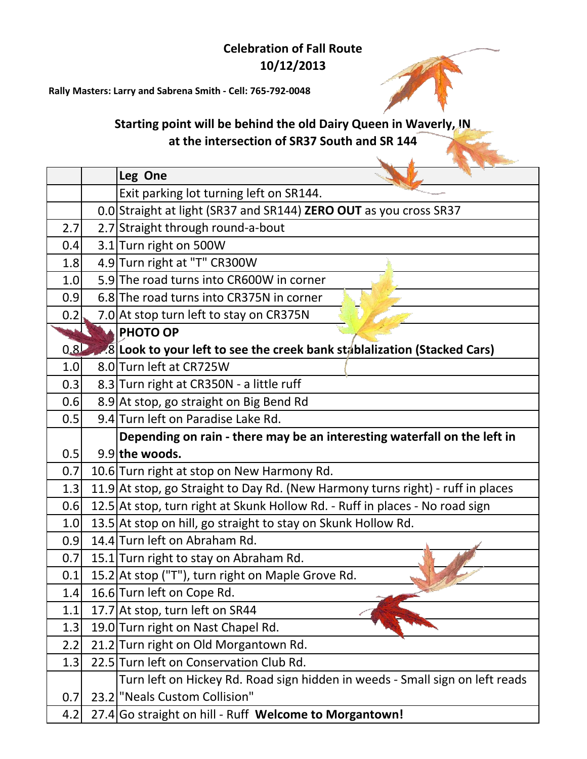## **Celebration of Fall Route 10/12/2013**

**Rally Masters: Larry and Sabrena Smith - Cell: 765-792-0048**

## **Starting point will be behind the old Dairy Queen in Waverly, IN at the intersection of SR37 South and SR 144**

|                  | Leg One                                                                         |
|------------------|---------------------------------------------------------------------------------|
|                  | Exit parking lot turning left on SR144.                                         |
|                  | 0.0 Straight at light (SR37 and SR144) ZERO OUT as you cross SR37               |
| 2.7              | 2.7 Straight through round-a-bout                                               |
| 0.4              | 3.1 Turn right on 500W                                                          |
| 1.8              | 4.9 Turn right at "T" CR300W                                                    |
| 1.0              | 5.9 The road turns into CR600W in corner                                        |
| 0.9              | 6.8 The road turns into CR375N in corner                                        |
| 0.2              | 7.0 At stop turn left to stay on CR375N                                         |
|                  | <b>PHOTO OP</b>                                                                 |
| 0.8 <sub>D</sub> | 8.8 Look to your left to see the creek bank stablalization (Stacked Cars)       |
| 1.0              | 8.0 Turn left at CR725W                                                         |
| 0.3              | 8.3 Turn right at CR350N - a little ruff                                        |
| 0.6              | 8.9 At stop, go straight on Big Bend Rd                                         |
| 0.5              | 9.4 Turn left on Paradise Lake Rd.                                              |
|                  | Depending on rain - there may be an interesting waterfall on the left in        |
| 0.5              | 9.9 the woods.                                                                  |
| 0.7              | 10.6 Turn right at stop on New Harmony Rd.                                      |
| 1.3              | 11.9 At stop, go Straight to Day Rd. (New Harmony turns right) - ruff in places |
| 0.6              | 12.5 At stop, turn right at Skunk Hollow Rd. - Ruff in places - No road sign    |
| 1.0              | 13.5 At stop on hill, go straight to stay on Skunk Hollow Rd.                   |
| 0.9              | 14.4 Turn left on Abraham Rd.                                                   |
| 0.7              | 15.1 Turn right to stay on Abraham Rd.                                          |
| 0.1              | 15.2 At stop ("T"), turn right on Maple Grove Rd.                               |
| 1.4              | 16.6 Turn left on Cope Rd.                                                      |
| 1.1              | 17.7 At stop, turn left on SR44                                                 |
| 1.3              | 19.0 Turn right on Nast Chapel Rd.                                              |
| 2.2              | 21.2 Turn right on Old Morgantown Rd.                                           |
| 1.3              | 22.5 Turn left on Conservation Club Rd.                                         |
|                  | Turn left on Hickey Rd. Road sign hidden in weeds - Small sign on left reads    |
|                  |                                                                                 |
| 0.7              | 23.2 "Neals Custom Collision"                                                   |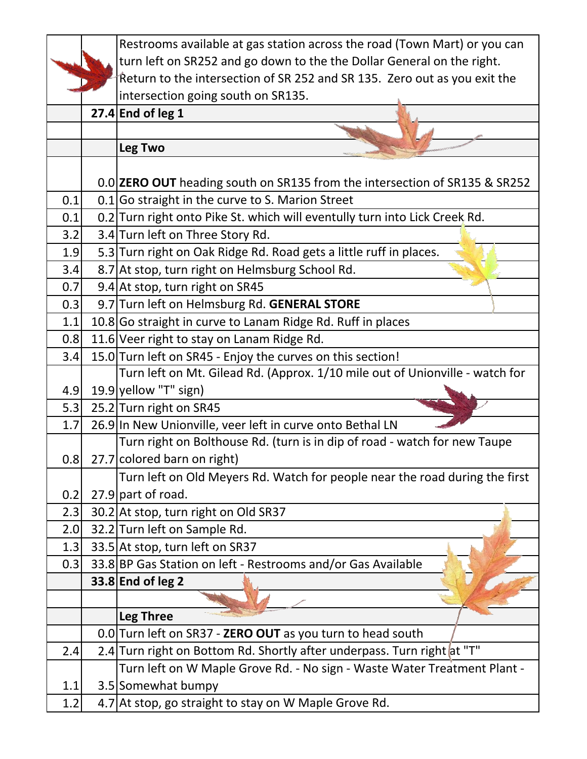|     | Restrooms available at gas station across the road (Town Mart) or you can    |
|-----|------------------------------------------------------------------------------|
|     | turn left on SR252 and go down to the the Dollar General on the right.       |
|     | Return to the intersection of SR 252 and SR 135. Zero out as you exit the    |
|     | intersection going south on SR135.                                           |
|     | $27.4$ End of leg 1                                                          |
|     |                                                                              |
|     | Leg Two                                                                      |
|     |                                                                              |
|     | 0.0 ZERO OUT heading south on SR135 from the intersection of SR135 & SR252   |
| 0.1 | $0.1$ Go straight in the curve to S. Marion Street                           |
| 0.1 | 0.2 Turn right onto Pike St. which will eventully turn into Lick Creek Rd.   |
| 3.2 | 3.4 Turn left on Three Story Rd.                                             |
| 1.9 | 5.3 Turn right on Oak Ridge Rd. Road gets a little ruff in places.           |
| 3.4 | 8.7 At stop, turn right on Helmsburg School Rd.                              |
| 0.7 | 9.4 At stop, turn right on SR45                                              |
| 0.3 | 9.7 Turn left on Helmsburg Rd. GENERAL STORE                                 |
| 1.1 | 10.8 Go straight in curve to Lanam Ridge Rd. Ruff in places                  |
| 0.8 | 11.6 Veer right to stay on Lanam Ridge Rd.                                   |
| 3.4 | 15.0 Turn left on SR45 - Enjoy the curves on this section!                   |
|     | Turn left on Mt. Gilead Rd. (Approx. 1/10 mile out of Unionville - watch for |
| 4.9 | 19.9 yellow "T" sign)                                                        |
| 5.3 | 25.2 Turn right on SR45                                                      |
| 1.7 | 26.9 In New Unionville, veer left in curve onto Bethal LN                    |
|     | Turn right on Bolthouse Rd. (turn is in dip of road - watch for new Taupe    |
| 0.8 | 27.7 colored barn on right)                                                  |
|     | Turn left on Old Meyers Rd. Watch for people near the road during the first  |
| 0.2 | 27.9 part of road.                                                           |
| 2.3 | 30.2 At stop, turn right on Old SR37                                         |
| 2.0 | 32.2 Turn left on Sample Rd.                                                 |
| 1.3 | 33.5 At stop, turn left on SR37                                              |
| 0.3 | 33.8 BP Gas Station on left - Restrooms and/or Gas Available                 |
|     | 33.8 End of leg 2                                                            |
|     |                                                                              |
|     | Leg Three                                                                    |
|     | 0.0 Turn left on SR37 - ZERO OUT as you turn to head south                   |
| 2.4 | 2.4 Turn right on Bottom Rd. Shortly after underpass. Turn right at "T"      |
|     | Turn left on W Maple Grove Rd. - No sign - Waste Water Treatment Plant -     |
| 1.1 | 3.5 Somewhat bumpy                                                           |
| 1.2 | 4.7 At stop, go straight to stay on W Maple Grove Rd.                        |